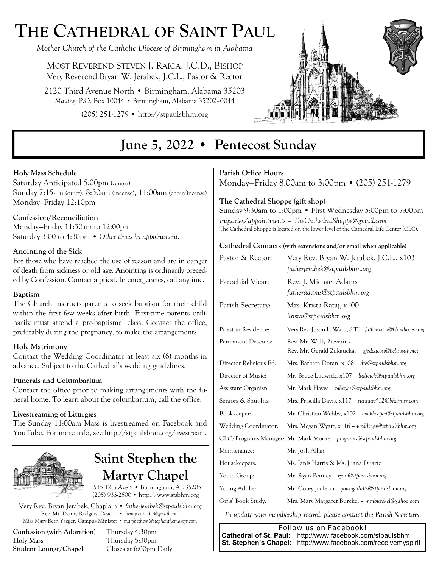# **THE CATHEDRAL OF SAINT PAUL**

*Mother Church of the Catholic Diocese of Birmingham in Alabama* 

MOST REVEREND STEVEN J. RAICA, J.C.D., BISHOP Very Reverend Bryan W. Jerabek, J.C.L., Pastor & Rector

2120 Third Avenue North • Birmingham, Alabama 35203 *Mailing:* P.O. Box 10044 • Birmingham, Alabama 35202–0044

(205) 251-1279 • http://stpaulsbhm.org



## **June 5, 2022 • Pentecost Sunday**

#### **Holy Mass Schedule**

Saturday Anticipated 5:00pm (cantor) Sunday 7:15am (quiet), 8:30am (incense), 11:00am (choir/incense) Monday–Friday 12:10pm

#### **Confession/Reconciliation**

Monday—Friday 11:30am to 12:00pm Saturday 3:00 to 4:30pm • *Other times by appointment.* 

#### **Anointing of the Sick**

For those who have reached the use of reason and are in danger of death from sickness or old age. Anointing is ordinarily preceded by Confession. Contact a priest. In emergencies, call anytime.

#### **Baptism**

The Church instructs parents to seek baptism for their child within the first few weeks after birth. First-time parents ordinarily must attend a pre-baptismal class. Contact the office, preferably during the pregnancy, to make the arrangements.

#### **Holy Matrimony**

Contact the Wedding Coordinator at least six (6) months in advance. Subject to the Cathedral's wedding guidelines.

#### **Funerals and Columbarium**

Contact the office prior to making arrangements with the funeral home. To learn about the columbarium, call the office.

#### **Livestreaming of Liturgies**

The Sunday 11:00am Mass is livestreamed on Facebook and YouTube. For more info, see http://stpaulsbhm.org/livestream.



## **Saint Stephen the Martyr Chapel**

1515 12th Ave S • Birmingham, AL 35205 (205) 933-2500 • http://www.stsbhm.org

Very Rev. Bryan Jerabek, Chaplain • *fatherjerabek@stpaulsbhm.org* Rev. Mr. Danny Rodgers, Deacon • *danny.cath.13@gmail.com* Miss Mary Beth Yaeger, Campus Minister • *marybethcm@stephenthemartyr.com* 

**Confession (with Adoration)** Thursday 4:30pm **Holy Mass** Thursday 5:30pm **Student Lounge/Chapel** Closes at 6:00pm Daily

#### **Parish Office Hours**

Monday—Friday 8:00am to 3:00pm • (205) 251-1279

#### **The Cathedral Shoppe (gift shop)**

Sunday 9:30am to 1:00pm • First Wednesday 5:00pm to 7:00pm *Inquiries/appointments – TheCathedralShoppe@gmail.com*  The Cathedral Shoppe is located on the lower level of the Cathedral Life Center (CLC).

#### **Cathedral Contacts (with extensions and/or email when applicable)**

| Pastor & Rector:        | Very Rev. Bryan W. Jerabek, J.C.L., x103<br>fatherjerabek@stpaulsbhm.org        |  |
|-------------------------|---------------------------------------------------------------------------------|--|
| Parochial Vicar:        | Rev. J. Michael Adams<br>fatheradams@stpaulsbhm.org                             |  |
| Parish Secretary:       | Mrs. Krista Rataj, x100<br>krista@stpaulsbhm.org                                |  |
| Priest in Residence:    | Very Rev. Justin L. Ward, S.T.L. fatherward@bhmdiocese.org                      |  |
| Permanent Deacons:      | Rev. Mr. Wally Zieverink<br>Rev. Mr. Gerald Zukauckas - gjzdeacon@bellsouth.net |  |
| Director Religious Ed.: | Mrs. Barbara Doran, x108 – dre@stpaulsbhm.org                                   |  |
| Director of Music:      | Mr. Bruce Ludwick, x107 – ludwick@stpaulsbhm.org                                |  |
| Assistant Organist:     | Mr. Mark Hayes - mhayes@stpaulsbhm.org                                          |  |
| Seniors & Shut-Ins:     | Mrs. Priscilla Davis, x117 – runnun412@bham.rr.com                              |  |
| Bookkeeper:             | Mr. Christian Wehby, x102 - bookkeeper@stpaulsbhm.org                           |  |
| Wedding Coordinator:    | Mrs. Megan Wyatt, x116 - weddings@stpaulsbhm.org                                |  |
|                         | CLC/Programs Manager: Mr. Mark Moore – programs@stpaulsbhm.org                  |  |
| Maintenance:            | Mr. Josh Allan                                                                  |  |
| Housekeepers:           | Ms. Janis Harris & Ms. Juana Duarte                                             |  |
| Youth Group:            | Mr. Ryan Penney – ryan@stpaulsbhm.org                                           |  |
| Young Adults:           | Mr. Corey Jackson - youngadults@stpaulsbhm.org                                  |  |
| Girls' Book Study:      | Mrs. Mary Margaret Burckel – mmburckel@yahoo.com                                |  |

*To update your membership record, please contact the Parish Secretary.* 

*Follow us on Facebook!*   **Cathedral of St. Paul:** http://www.facebook.com/stpaulsbhm  **St. Stephen's Chapel:** http://www.facebook.com/receivemyspirit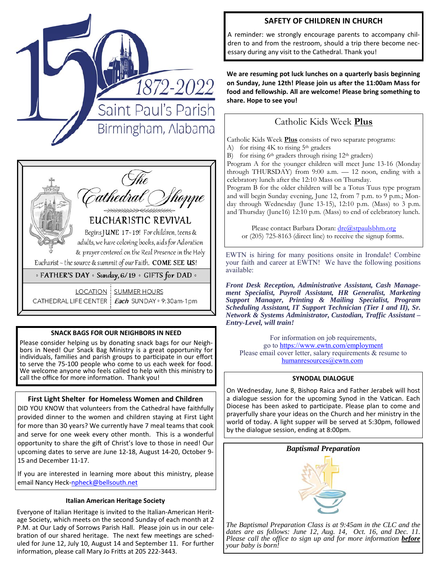



#### **SNACK BAGS FOR OUR NEIGHBORS IN NEED**

Please consider helping us by donating snack bags for our Neighbors in Need! Our Snack Bag Ministry is a great opportunity for individuals, families and parish groups to participate in our effort to serve the 75-100 people who come to us each week for food. We welcome anyone who feels called to help with this ministry to call the office for more information. Thank you!

#### **First Light Shelter for Homeless Women and Children**

DID YOU KNOW that volunteers from the Cathedral have faithfully provided dinner to the women and children staying at First Light for more than 30 years? We currently have 7 meal teams that cook and serve for one week every other month. This is a wonderful opportunity to share the gift of Christ's love to those in need! Our upcoming dates to serve are June 12-18, August 14-20, October 9- 15 and December 11-17.

If you are interested in learning more about this ministry, please email Nancy Heck-npheck@bellsouth.net

#### **Italian American Heritage Society**

Everyone of Italian Heritage is invited to the Italian-American Heritage Society, which meets on the second Sunday of each month at 2 P.M. at Our Lady of Sorrows Parish Hall. Please join us in our celebration of our shared heritage. The next few meetings are scheduled for June 12, July 10, August 14 and September 11. For further information, please call Mary Jo Fritts at 205 222-3443.

#### **SAFETY OF CHILDREN IN CHURCH**

A reminder: we strongly encourage parents to accompany children to and from the restroom, should a trip there become necessary during any visit to the Cathedral. Thank you!

**We are resuming pot luck lunches on a quarterly basis beginning** on Sunday, June 12th! Please join us after the 11:00am Mass for **food and fellowship. All are welcome! Please bring something to share. Hope to see you!** 

## Catholic Kids Week **Plus**

Catholic Kids Week **Plus** consists of two separate programs:

- A) for rising  $4K$  to rising  $5<sup>th</sup>$  graders
- B) for rising  $6<sup>th</sup>$  graders through rising  $12<sup>th</sup>$  graders)

Program A for the younger children will meet June 13-16 (Monday through THURSDAY) from 9:00 a.m. — 12 noon, ending with a celebratory lunch after the 12:10 Mass on Thursday.

Program B for the older children will be a Totus Tuus type program and will begin Sunday evening, June 12, from 7 p.m. to 9 p.m.; Monday through Wednesday (June 13-15), 12:10 p.m. (Mass) to 3 p.m. and Thursday (June16) 12:10 p.m. (Mass) to end of celebratory lunch.

Please contact Barbara Doran: dre@stpaulsbhm.org or (205) 725-8163 (direct line) to receive the signup forms.

EWTN is hiring for many positions onsite in Irondale! Combine your faith and career at EWTN! We have the following positions available:

*Front Desk Reception, Administrative Assistant, Cash Management Specialist, Payroll Assistant, HR Generalist, Marketing Support Manager, Printing & Mailing Specialist, Program Scheduling Assistant, IT Support Technician (Tier I and II), Sr. Network & Systems Administrator, Custodian, Traffic Assistant – Entry-Level, will train!* 

For information on job requirements, go to https://www.ewtn.com/employment Please email cover letter, salary requirements & resume to humanresources@ewtn.com

#### **SYNODAL DIALOGUE**

On Wednesday, June 8, Bishop Raica and Father Jerabek will host a dialogue session for the upcoming Synod in the Vatican. Each Diocese has been asked to participate. Please plan to come and prayerfully share your ideas on the Church and her ministry in the world of today. A light supper will be served at 5:30pm, followed by the dialogue session, ending at 8:00pm.



*The Baptismal Preparation Class is at 9:45am in the CLC and the dates are as follows: June 12, Aug. 14, Oct. 16, and Dec. 11. Please call the office to sign up and for more information <i>before your baby is born!*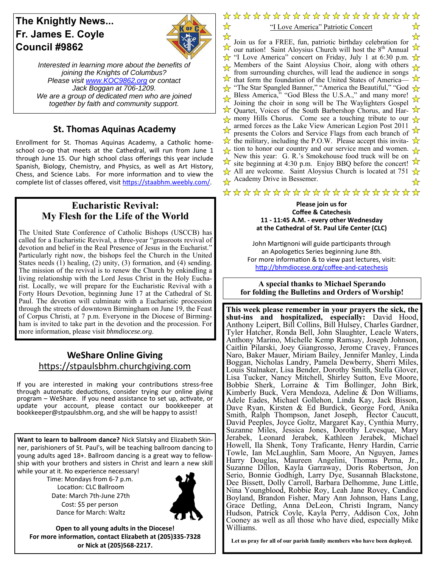## **The Knightly News... Fr. James E. Coyle Council #9862**



☆  $\star$ 

*Interested in learning more about the benefits of joining the Knights of Columbus? Please visit www.KOC9862.org or contact Jack Boggan at 706-1209. We are a group of dedicated men who are joined together by faith and community support.*

### **St. Thomas Aquinas Academy**

Enrollment for St. Thomas Aquinas Academy, a Catholic homeschool co-op that meets at the Cathedral, will run from June 1 through June 15. Our high school class offerings this year include Spanish, Biology, Chemistry, and Physics, as well as Art History, Chess, and Science Labs. For more information and to view the complete list of classes offered, visit https://staabhm.weebly.com/.

#### **Eucharistic Revival: My Flesh for the Life of the World**

The United State Conference of Catholic Bishops (USCCB) has called for a Eucharistic Revival, a three-year "grassroots revival of devotion and belief in the Real Presence of Jesus in the Eucharist." Particularly right now, the bishops feel the Church in the United States needs  $(1)$  healing,  $(2)$  unity,  $(3)$  formation, and  $(4)$  sending. The mission of the revival is to renew the Church by enkindling a living relationship with the Lord Jesus Christ in the Holy Eucharist. Locally, we will prepare for the Eucharistic Revival with a Forty Hours Devotion, beginning June 17 at the Cathedral of St. Paul. The devotion will culminate with a Eucharistic procession through the streets of downtown Birmingham on June 19, the Feast of Corpus Christi, at 7 p.m. Everyone in the Diocese of Birmingham is invited to take part in the devotion and the procession. For more information, please visit *bhmdiocese.org*.

### **WeShare Online Giving**  https://stpaulsbhm.churchgiving.com

If you are interested in making your contributions stress-free through automatic deductions, consider trying our online giving program – WeShare. If you need assistance to set up, activate, or update your account, please contact our bookkeeper at bookkeeper@stpaulsbhm.org, and she will be happy to assist!

**Want to learn to ballroom dance?** Nick Slatsky and Elizabeth Skinner, parishioners of St. Paul's, will be teaching ballroom dancing to young adults aged 18+. Ballroom dancing is a great way to fellowship with your brothers and sisters in Christ and learn a new skill while your at it. No experience necessary!

Time: Mondays from 6-7 p.m. Location: CLC Ballroom Date: March 7th-June 27th Cost: \$5 per person Dance for March: Waltz



**Open to all young adults in the Diocese! For more informaƟon, contact Elizabeth at (205)335‐7328 or Nick at (205)568‐2217.** 

\*\*\*\*\*\*\*\*\*\*\*\*\*\*\*\*\*\*\* "I Love America" Patriotic Concert Join us for a FREE, fun, patriotic birthday celebration for

☆

 $\lambda$  our us for a FREE, full, patriotic britingly celebration for  $\lambda$  our nation! Saint Aloysius Church will host the 8<sup>th</sup> Annual  $\frac{1}{\sqrt{x}}$  "I Love America" concert on Friday, July 1 at 6:30 p.m.  $\frac{1}{\sqrt{x}}$ Members of the Saint Aloysius Choir, along with others from surrounding churches, will lead the audience in songs  $\overline{\lambda}$  that form the foundation of the United States of America—  $\frac{1}{\sqrt{2}}$  "The Star Spangled Banner," "America the Beautiful," "God  $\frac{1}{\sqrt{2}}$ Bless America," "God Bless the U.S.A.," and many more! Joining the choir in song will be The Waylighters Gospel  $\overrightarrow{\mathcal{K}}$  Quartet, Voices of the South Barbershop Chorus, and Har- $\frac{1}{\sqrt{2}}$  mony Hills Chorus. Come see a touching tribute to our  $\frac{1}{\sqrt{2}}$ armed forces as the Lake View American Legion Post 2011 presents the Colors and Service Flags from each branch of  $\overrightarrow{\mathbf{x}}$  the military, including the P.O.W. Please accept this invita- $\frac{1}{\sqrt{2}}$  tion to honor our country and our service men and women. New this year: G. R.'s Smokehouse food truck will be on site beginning at 4:30 p.m. Enjoy BBQ before the concert!  $\chi$  All are welcome. Saint Aloysius Church is located at 751  $\chi$ Academy Drive in Bessemer.

## \*\*\*\*\*\*\*\*\*\*\*\*\*\*\*\*\*\*\*\*

#### **Please join us for Coffee & Catechesis 11 ‐ 11:45 A.M. ‐ every other Wednesday at the Cathedral of St. Paul Life Center (CLC)**

John Martignoni will guide participants through an Apologetics Series beginning June 8th. For more information & to view past lectures, visit: http://bhmdiocese.org/coffee-and-catechesis

**A special thanks to Michael Sperando for folding the Bulletins and Orders of Worship!** 

**This week please remember in your prayers the sick, the shut-ins and hospitalized, especially:** David Hood, Anthony Leipert, Bill Collins, Bill Hulsey, Charles Gardner, Tyler Hatcher, Ronda Bell, John Slaughter, Leacle Waters, Anthony Marino, Michelle Kemp Ramsay, Joseph Johnson, Caitlin Pilarski, Joey Giangrosso, Jerome Cravey, Frances Naro, Baker Mauer, Miriam Bailey, Jennifer Manley, Linda Boggan, Nicholas Landry, Pamela Dewberry, Sherri Miles, Louis Stalnaker, Lisa Bender, Dorothy Smith, Stella Glover, Lisa Tucker, Nancy Mitchell, Shirley Sutton, Eve Moore, Bobbie Sherk, Lorraine & Tim Bollinger, John Birk, Kimberly Buck, Vera Mendoza, Adeline  $\&$  Don Williams, Adele Eades, Michael Gollehon, Linda Kay, Jack Bisson, Dave Ryan, Kirsten & Ed Burdick, George Ford, Anika Smith, Ralph Thompson, Janet Joseph, Hector Caucutt, David Peeples, Joyce Goltz, Margaret Kay, Cynthia Murry, Suzanne Miles, Jessica Jones, Dorothy Levesque, Mary Jerabek, Leonard Jerabek, Kathleen Jerabek, Michael Howell, Ila Shenk, Tony Traficante, Henry Hardin, Carrie Towle, Ian McLaughlin, Sam Moore, An Nguyen, James Harry Douglas, Maureen Angelini, Thomas Perna, Jr., Suzanne Dillon, Kayla Garraway, Doris Robertson, Jon Serio, Bonnie Godhigh, Larry Dye, Susannah Blackstone, Dee Bissett, Dolly Carroll, Barbara Delhomme, June Little, Nina Youngblood, Robbie Roy, Leah Jane Rovey, Candice Boyland, Brandon Fisher, Mary Ann Johnson, Hans Lang, Grace Detling, Anna DeLeon, Christi Ingram, Nancy Hudson, Patrick Coyle, Kayla Perry, Addison Cox, John Cooney as well as all those who have died, especially Mike Williams.

**Let us pray for all of our parish family members who have been deployed.**